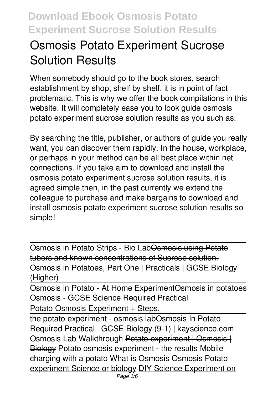# **Osmosis Potato Experiment Sucrose Solution Results**

When somebody should go to the book stores, search establishment by shop, shelf by shelf, it is in point of fact problematic. This is why we offer the book compilations in this website. It will completely ease you to look guide **osmosis potato experiment sucrose solution results** as you such as.

By searching the title, publisher, or authors of guide you really want, you can discover them rapidly. In the house, workplace, or perhaps in your method can be all best place within net connections. If you take aim to download and install the osmosis potato experiment sucrose solution results, it is agreed simple then, in the past currently we extend the colleague to purchase and make bargains to download and install osmosis potato experiment sucrose solution results so simple!

Osmosis in Potato Strips - Bio LabOsmosis using Potato tubers and known concentrations of Sucrose solution. *Osmosis in Potatoes, Part One | Practicals | GCSE Biology (Higher)*

Osmosis in Potato - At Home Experiment*Osmosis in potatoes Osmosis - GCSE Science Required Practical*

Potato Osmosis Experiment + Steps.

the potato experiment - osmosis lab*Osmosis In Potato Required Practical | GCSE Biology (9-1) | kayscience.com Osmosis Lab Walkthrough* Potato experiment | Osmosis | Biology **Potato osmosis experiment - the results** Mobile charging with a potato What is Osmosis Osmosis Potato experiment Science or biology DIY Science Experiment on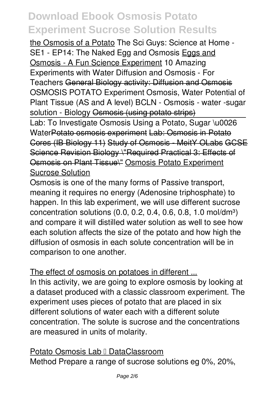the Osmosis of a Potato The Sci Guys: Science at Home -SE1 - EP14: The Naked Egg and Osmosis Eggs and Osmosis - A Fun Science Experiment **10 Amazing Experiments with Water** *Diffusion and Osmosis - For Teachers* General Biology activity: Diffusion and Osmosis *OSMOSIS POTATO Experiment Osmosis, Water Potential of Plant Tissue (AS and A level) BCLN - Osmosis - water -sugar* solution - Biology Osmosis (using potato strips)

Lab: To Investigate Osmosis Using a Potato, Sugar \u0026 WaterPotato osmosis experiment Lab: Osmosis in Potato Cores (IB Biology 11) Study of Osmosis - MeitY OLabs GCSE Science Revision Biology \"Required Practical 3: Effects of Osmosis on Plant Tissue\" Osmosis Potato Experiment Sucrose Solution

Osmosis is one of the many forms of Passive transport, meaning it requires no energy (Adenosine triphosphate) to happen. In this lab experiment, we will use different sucrose concentration solutions  $(0.0, 0.2, 0.4, 0.6, 0.8, 1.0 \text{ mol/dm}^3)$ and compare it will distilled water solution as well to see how each solution affects the size of the potato and how high the diffusion of osmosis in each solute concentration will be in comparison to one another.

#### The effect of osmosis on potatoes in different ...

In this activity, we are going to explore osmosis by looking at a dataset produced with a classic classroom experiment. The experiment uses pieces of potato that are placed in six different solutions of water each with a different solute concentration. The solute is sucrose and the concentrations are measured in units of molarity.

Potato Osmosis Lab I DataClassroom Method Prepare a range of sucrose solutions eg 0%, 20%,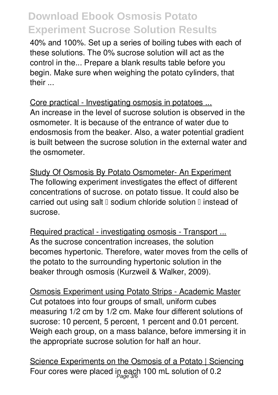40% and 100%. Set up a series of boiling tubes with each of these solutions. The 0% sucrose solution will act as the control in the... Prepare a blank results table before you begin. Make sure when weighing the potato cylinders, that their ...

Core practical - Investigating osmosis in potatoes ... An increase in the level of sucrose solution is observed in the osmometer. It is because of the entrance of water due to endosmosis from the beaker. Also, a water potential gradient is built between the sucrose solution in the external water and the osmometer.

Study Of Osmosis By Potato Osmometer- An Experiment The following experiment investigates the effect of different concentrations of sucrose. on potato tissue. It could also be carried out using salt  $\square$  sodium chloride solution  $\square$  instead of sucrose.

Required practical - investigating osmosis - Transport ... As the sucrose concentration increases, the solution becomes hypertonic. Therefore, water moves from the cells of the potato to the surrounding hypertonic solution in the beaker through osmosis (Kurzweil & Walker, 2009).

Osmosis Experiment using Potato Strips - Academic Master Cut potatoes into four groups of small, uniform cubes measuring 1/2 cm by 1/2 cm. Make four different solutions of sucrose: 10 percent, 5 percent, 1 percent and 0.01 percent. Weigh each group, on a mass balance, before immersing it in the appropriate sucrose solution for half an hour.

Science Experiments on the Osmosis of a Potato | Sciencing Four cores were placed in each 100 mL solution of 0.2  $_{\tiny{Page 3/6}}$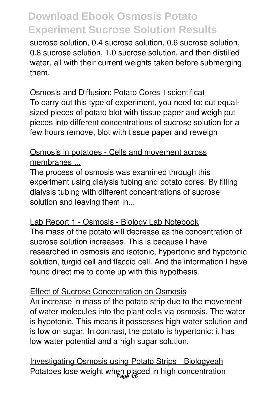sucrose solution, 0.4 sucrose solution, 0.6 sucrose solution, 0.8 sucrose solution, 1.0 sucrose solution, and then distilled water, all with their current weights taken before submerging them.

#### Osmosis and Diffusion: Potato Cores I scientificat

To carry out this type of experiment, you need to: cut equalsized pieces of potato blot with tissue paper and weigh put pieces into different concentrations of sucrose solution for a few hours remove, blot with tissue paper and reweigh

#### Osmosis in potatoes - Cells and movement across membranes ...

The process of osmosis was examined through this experiment using dialysis tubing and potato cores. By filling dialysis tubing with different concentrations of sucrose solution and leaving them in...

#### Lab Report 1 - Osmosis - Biology Lab Notebook

The mass of the potato will decrease as the concentration of sucrose solution increases. This is because I have researched in osmosis and isotonic, hypertonic and hypotonic solution, turgid cell and flaccid cell. And the information I have found direct me to come up with this hypothesis.

#### Effect of Sucrose Concentration on Osmosis

An increase in mass of the potato strip due to the movement of water molecules into the plant cells via osmosis. The water is hypotonic. This means it possesses high water solution and is low on sugar. In contrast, the potato is hypertonic: it has low water potential and a high sugar solution.

Investigating Osmosis using Potato Strips I Biologyeah Potatoes lose weight when placed in high concentration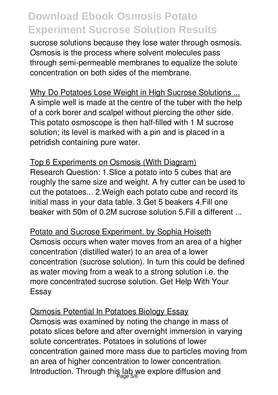sucrose solutions because they lose water through osmosis. Osmosis is the process where solvent molecules pass through semi-permeable membranes to equalize the solute concentration on both sides of the membrane.

Why Do Potatoes Lose Weight in High Sucrose Solutions ... A simple well is made at the centre of the tuber with the help of a cork borer and scalpel without piercing the other side. This potato osmoscope is then half-filled with 1 M sucrose solution; its level is marked with a pin and is placed in a petridish containing pure water.

Top 6 Experiments on Osmosis (With Diagram) Research Question: 1.Slice a potato into 5 cubes that are roughly the same size and weight. A fry cutter can be used to cut the potatoes... 2.Weigh each potato cube and record its initial mass in your data table. 3.Get 5 beakers 4.Fill one beaker with 50m of 0.2M sucrose solution 5.Fill a different ...

Potato and Sucrose Experiment. by Sophia Hoiseth Osmosis occurs when water moves from an area of a higher concentration (distilled water) to an area of a lower concentration (sucrose solution). In turn this could be defined as water moving from a weak to a strong solution i.e. the more concentrated sucrose solution. Get Help With Your Essay

#### Osmosis Potential In Potatoes Biology Essay

Osmosis was examined by noting the change in mass of potato slices before and after overnight immersion in varying solute concentrates. Potatoes in solutions of lower concentration gained more mass due to particles moving from an area of higher concentration to lower concentration. Introduction. Through this lab we explore diffusion and Page 5/6